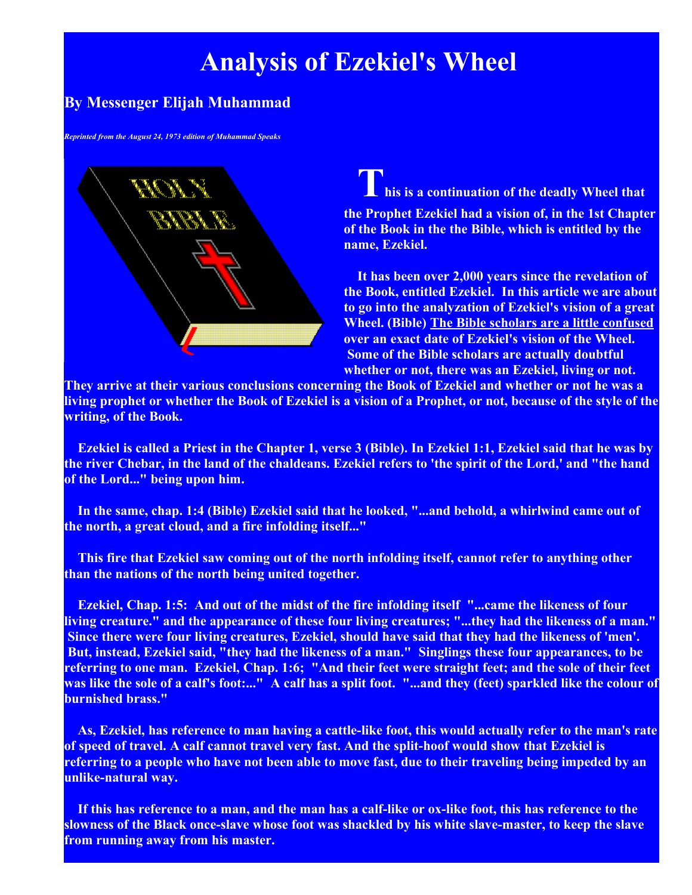## **Analysis of Ezekiel's Wheel**

## **By Messenger Elijah Muhammad**

*Reprinted from the August 24, 1973 edition of Muhammad Speaks*



**This is a continuation of the deadly Wheel that the Prophet Ezekiel had a vision of, in the 1st Chapter of the Book in the the Bible, which is entitled by the name, Ezekiel.**

**It has been over 2,000 years since the revelation of the Book, entitled Ezekiel. In this article we are about to go into the analyzation of Ezekiel's vision of a great Wheel. (Bible) The Bible scholars are a little confused over an exact date of Ezekiel's vision of the Wheel. Some of the Bible scholars are actually doubtful whether or not, there was an Ezekiel, living or not.** 

**They arrive at their various conclusions concerning the Book of Ezekiel and whether or not he was a living prophet or whether the Book of Ezekiel is a vision of a Prophet, or not, because of the style of the writing, of the Book.**

**Ezekiel is called a Priest in the Chapter 1, verse 3 (Bible). In Ezekiel 1:1, Ezekiel said that he was by the river Chebar, in the land of the chaldeans. Ezekiel refers to 'the spirit of the Lord,' and "the hand of the Lord..." being upon him.**

**In the same, chap. 1:4 (Bible) Ezekiel said that he looked, "...and behold, a whirlwind came out of the north, a great cloud, and a fire infolding itself..."**

**This fire that Ezekiel saw coming out of the north infolding itself, cannot refer to anything other than the nations of the north being united together.**

**Ezekiel, Chap. 1:5: And out of the midst of the fire infolding itself "...came the likeness of four living creature." and the appearance of these four living creatures; "...they had the likeness of a man." Since there were four living creatures, Ezekiel, should have said that they had the likeness of 'men'. But, instead, Ezekiel said, "they had the likeness of a man." Singlings these four appearances, to be referring to one man. Ezekiel, Chap. 1:6; "And their feet were straight feet; and the sole of their feet was like the sole of a calf's foot:..." A calf has a split foot. "...and they (feet) sparkled like the colour of burnished brass."**

**As, Ezekiel, has reference to man having a cattle-like foot, this would actually refer to the man's rate of speed of travel. A calf cannot travel very fast. And the split-hoof would show that Ezekiel is referring to a people who have not been able to move fast, due to their traveling being impeded by an unlike-natural way.**

**If this has reference to a man, and the man has a calf-like or ox-like foot, this has reference to the slowness of the Black once-slave whose foot was shackled by his white slave-master, to keep the slave from running away from his master.**